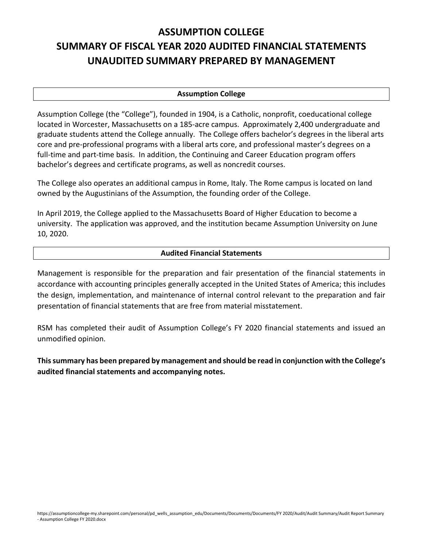# **ASSUMPTION COLLEGE SUMMARY OF FISCAL YEAR 2020 AUDITED FINANCIAL STATEMENTS UNAUDITED SUMMARY PREPARED BY MANAGEMENT**

## **Assumption College**

Assumption College (the "College"), founded in 1904, is a Catholic, nonprofit, coeducational college located in Worcester, Massachusetts on a 185‐acre campus. Approximately 2,400 undergraduate and graduate students attend the College annually. The College offers bachelor's degrees in the liberal arts core and pre‐professional programs with a liberal arts core, and professional master's degrees on a full-time and part-time basis. In addition, the Continuing and Career Education program offers bachelor's degrees and certificate programs, as well as noncredit courses.

The College also operates an additional campus in Rome, Italy. The Rome campus is located on land owned by the Augustinians of the Assumption, the founding order of the College.

In April 2019, the College applied to the Massachusetts Board of Higher Education to become a university. The application was approved, and the institution became Assumption University on June 10, 2020.

#### **Audited Financial Statements**

Management is responsible for the preparation and fair presentation of the financial statements in accordance with accounting principles generally accepted in the United States of America; this includes the design, implementation, and maintenance of internal control relevant to the preparation and fair presentation of financial statements that are free from material misstatement.

RSM has completed their audit of Assumption College's FY 2020 financial statements and issued an unmodified opinion.

**Thissummary has been prepared by management and should be read in conjunction with the College's audited financial statements and accompanying notes.**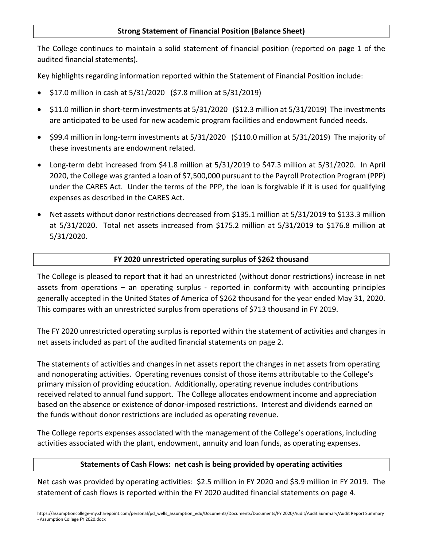## **Strong Statement of Financial Position (Balance Sheet)**

The College continues to maintain a solid statement of financial position (reported on page 1 of the audited financial statements).

Key highlights regarding information reported within the Statement of Financial Position include:

- \$17.0 million in cash at 5/31/2020 (\$7.8 million at 5/31/2019)
- \$11.0 million in short-term investments at 5/31/2020 (\$12.3 million at 5/31/2019) The investments are anticipated to be used for new academic program facilities and endowment funded needs.
- \$99.4 million in long-term investments at 5/31/2020 (\$110.0 million at 5/31/2019) The majority of these investments are endowment related.
- Long-term debt increased from \$41.8 million at 5/31/2019 to \$47.3 million at 5/31/2020. In April 2020, the College was granted a loan of \$7,500,000 pursuant to the Payroll Protection Program (PPP) under the CARES Act. Under the terms of the PPP, the loan is forgivable if it is used for qualifying expenses as described in the CARES Act.
- Net assets without donor restrictions decreased from \$135.1 million at 5/31/2019 to \$133.3 million at 5/31/2020. Total net assets increased from \$175.2 million at 5/31/2019 to \$176.8 million at 5/31/2020.

## **FY 2020 unrestricted operating surplus of \$262 thousand**

The College is pleased to report that it had an unrestricted (without donor restrictions) increase in net assets from operations – an operating surplus - reported in conformity with accounting principles generally accepted in the United States of America of \$262 thousand for the year ended May 31, 2020. This compares with an unrestricted surplus from operations of \$713 thousand in FY 2019.

The FY 2020 unrestricted operating surplus is reported within the statement of activities and changes in net assets included as part of the audited financial statements on page 2.

The statements of activities and changes in net assets report the changes in net assets from operating and nonoperating activities. Operating revenues consist of those items attributable to the College's primary mission of providing education. Additionally, operating revenue includes contributions received related to annual fund support. The College allocates endowment income and appreciation based on the absence or existence of donor‐imposed restrictions. Interest and dividends earned on the funds without donor restrictions are included as operating revenue.

The College reports expenses associated with the management of the College's operations, including activities associated with the plant, endowment, annuity and loan funds, as operating expenses.

## **Statements of Cash Flows: net cash is being provided by operating activities**

Net cash was provided by operating activities: \$2.5 million in FY 2020 and \$3.9 million in FY 2019. The statement of cash flows is reported within the FY 2020 audited financial statements on page 4.